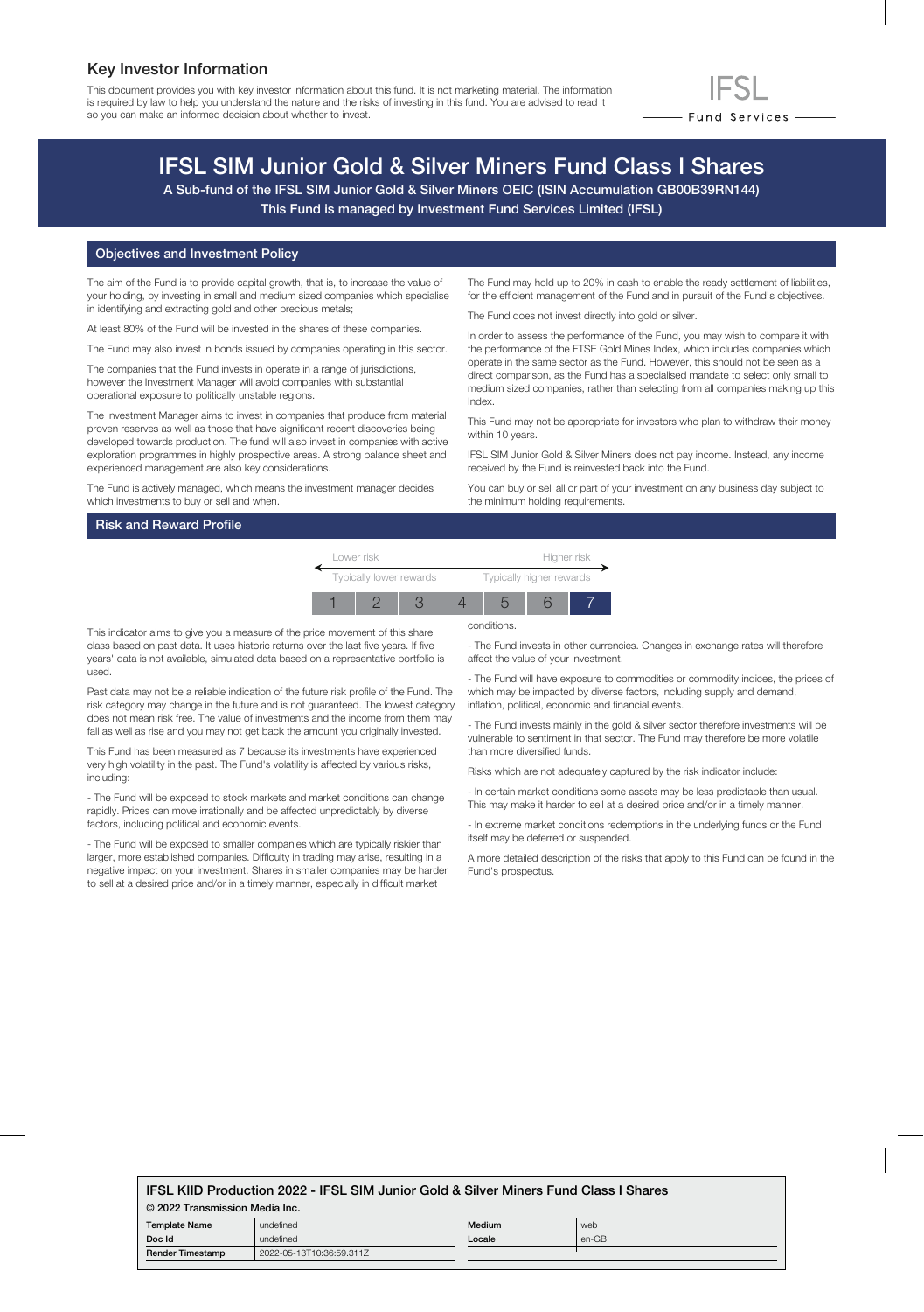## Key Investor Information

This document provides you with key investor information about this fund. It is not marketing material. The information is required by law to help you understand the nature and the risks of investing in this fund. You are advised to read it so you can make an informed decision about whether to invest.



# IFSL SIM Junior Gold & Silver Miners Fund Class I Shares

A Sub-fund of the IFSL SIM Junior Gold & Silver Miners OEIC (ISIN Accumulation GB00B39RN144) This Fund is managed by Investment Fund Services Limited (IFSL)

#### Objectives and Investment Policy

The aim of the Fund is to provide capital growth, that is, to increase the value of your holding, by investing in small and medium sized companies which specialise in identifying and extracting gold and other precious metals;

At least 80% of the Fund will be invested in the shares of these companies.

The Fund may also invest in bonds issued by companies operating in this sector.

The companies that the Fund invests in operate in a range of jurisdictions, however the Investment Manager will avoid companies with substantial operational exposure to politically unstable regions.

The Investment Manager aims to invest in companies that produce from material proven reserves as well as those that have significant recent discoveries being developed towards production. The fund will also invest in companies with active exploration programmes in highly prospective areas. A strong balance sheet and experienced management are also key considerations.

The Fund is actively managed, which means the investment manager decides which investments to buy or sell and when.

#### Risk and Reward Profile

The Fund may hold up to 20% in cash to enable the ready settlement of liabilities, for the efficient management of the Fund and in pursuit of the Fund's objectives.

The Fund does not invest directly into gold or silver.

In order to assess the performance of the Fund, you may wish to compare it with the performance of the FTSE Gold Mines Index, which includes companies which operate in the same sector as the Fund. However, this should not be seen as a direct comparison, as the Fund has a specialised mandate to select only small to medium sized companies, rather than selecting from all companies making up this Index.

This Fund may not be appropriate for investors who plan to withdraw their money within 10 years.

IFSL SIM Junior Gold & Silver Miners does not pay income. Instead, any income received by the Fund is reinvested back into the Fund.

You can buy or sell all or part of your investment on any business day subject to the minimum holding requirements.



conditions.

This indicator aims to give you a measure of the price movement of this share class based on past data. It uses historic returns over the last five years. If five years' data is not available, simulated data based on a representative portfolio is used.

Past data may not be a reliable indication of the future risk profile of the Fund. The risk category may change in the future and is not guaranteed. The lowest category does not mean risk free. The value of investments and the income from them may fall as well as rise and you may not get back the amount you originally invested.

This Fund has been measured as 7 because its investments have experienced very high volatility in the past. The Fund's volatility is affected by various risks, including:

- The Fund will be exposed to stock markets and market conditions can change rapidly. Prices can move irrationally and be affected unpredictably by diverse factors, including political and economic events.

- The Fund will be exposed to smaller companies which are typically riskier than larger, more established companies. Difficulty in trading may arise, resulting in a negative impact on your investment. Shares in smaller companies may be harder to sell at a desired price and/or in a timely manner, especially in difficult market

- The Fund invests in other currencies. Changes in exchange rates will therefore affect the value of your investment.

- The Fund will have exposure to commodities or commodity indices, the prices of which may be impacted by diverse factors, including supply and demand, inflation, political, economic and financial events.

- The Fund invests mainly in the gold & silver sector therefore investments will be vulnerable to sentiment in that sector. The Fund may therefore be more volatile than more diversified funds.

Risks which are not adequately captured by the risk indicator include:

- In certain market conditions some assets may be less predictable than usual. This may make it harder to sell at a desired price and/or in a timely manner.

- In extreme market conditions redemptions in the underlying funds or the Fund itself may be deferred or suspended.

A more detailed description of the risks that apply to this Fund can be found in the Fund's prospectus.